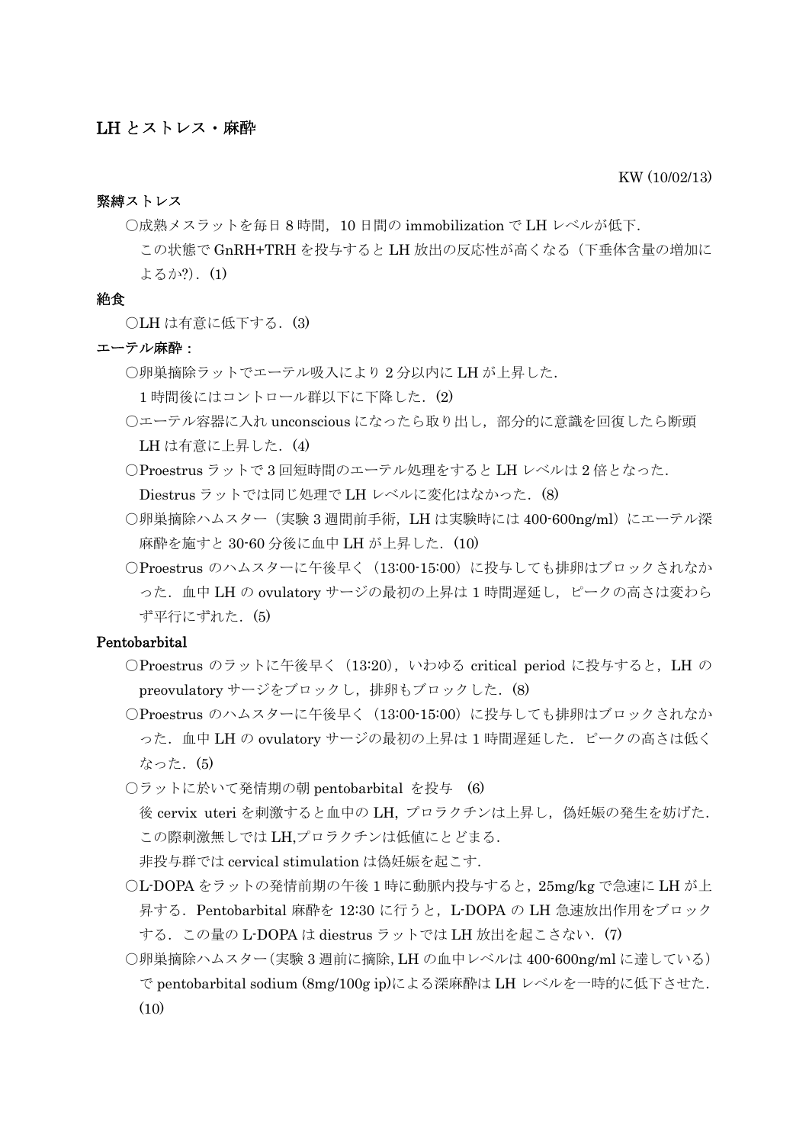#### KW (10/02/13)

#### 緊縛ストレス

○成熟メスラットを毎日 8 時間,10 日間の immobilization で LH レベルが低下.

この状態で GnRH+TRH を投与すると LH 放出の反応性が高くなる(下垂体含量の増加に よるか?).(1)

#### 絶食

○LH は有意に低下する. (3)

#### エーテル麻酔:

○卵巣摘除ラットでエーテル吸入により 2 分以内に LH が上昇した.

1時間後にはコントロール群以下に下降した. (2)

- ○エーテル容器に入れ unconscious になったら取り出し,部分的に意識を回復したら断頭 LH は有意に上昇した. (4)
- ○Proestrus ラットで 3 回短時間のエーテル処理をすると LH レベルは 2 倍となった. Diestrus ラットでは同じ処理で LH レベルに変化はなかった. (8)
- ○卵巣摘除ハムスター(実験 3 週間前手術,LH は実験時には 400-600ng/ml)にエーテル深 麻酔を施すと 30-60 分後に血中 LH が上昇した. (10)
- ○Proestrus のハムスターに午後早く(13:00-15:00)に投与しても排卵はブロックされなか った. 血中 LH の ovulatory サージの最初の上昇は 1 時間遅延し、ピークの高さは変わら ず平行にずれた.(5)

### Pentobarbital

- ○Proestrus のラットに午後早く(13:20),いわゆる critical period に投与すると,LH の preovulatory サージをブロックし, 排卵もブロックした. (8)
- ○Proestrus のハムスターに午後早く(13:00-15:00)に投与しても排卵はブロックされなか った.血中 LH の ovulatory サージの最初の上昇は 1 時間遅延した.ピークの高さは低く なった. (5)
- ○ラットに於いて発情期の朝 pentobarbital を投与 (6) 後 cervix uteri を刺激すると血中の LH, プロラクチンは上昇し, 偽妊娠の発生を妨げた. この際刺激無しでは LH,プロラクチンは低値にとどまる. 非投与群では cervical stimulation は偽妊娠を起こす.
- ○L-DOPA をラットの発情前期の午後 1 時に動脈内投与すると,25mg/kg で急速に LH が上 昇する. Pentobarbital 麻酔を 12:30 に行うと, L-DOPA の LH 急速放出作用をブロック する. この量の L-DOPA は diestrus ラットでは LH 放出を起こさない. (7)
- ○卵巣摘除ハムスター(実験 3 週前に摘除,LH の血中レベルは 400-600ng/ml に達している) で pentobarbital sodium (8mg/100g ip)による深麻酔は LH レベルを一時的に低下させた.  $(10)$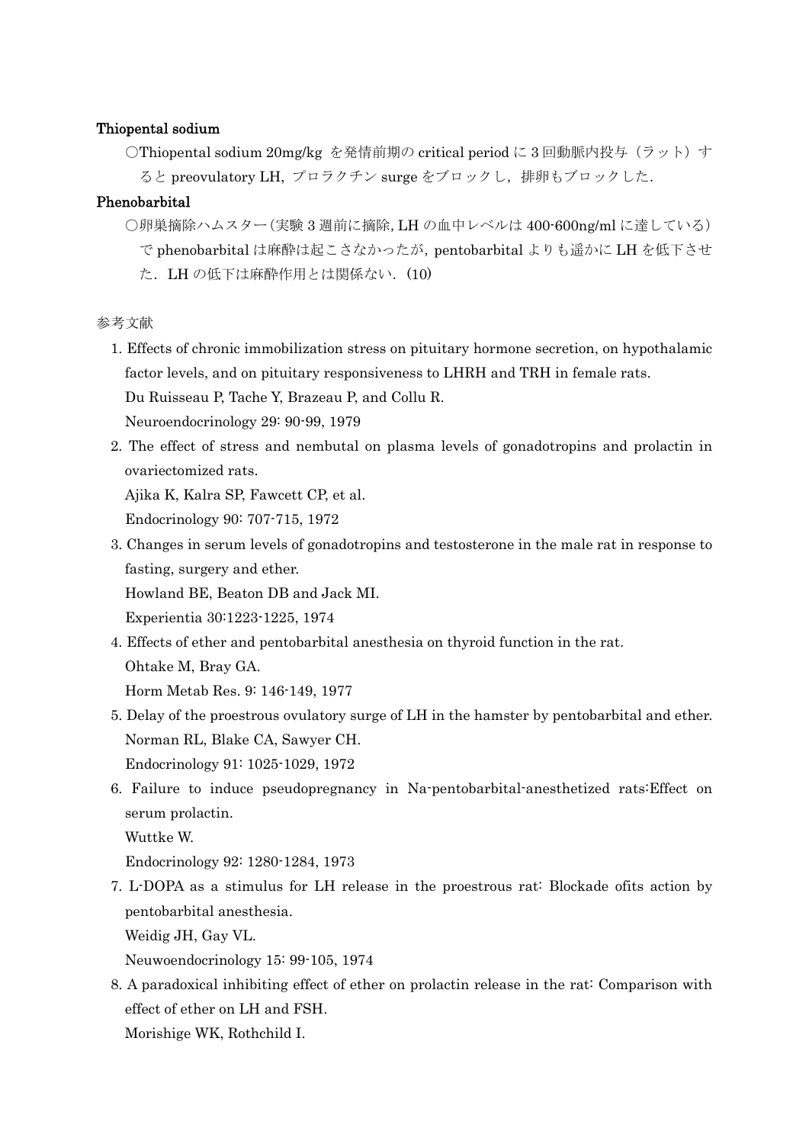## Thiopental sodium

○Thiopental sodium 20mg/kg を発情前期の critical period に 3 回動脈内投与(ラット)す ると preovulatory LH, プロラクチン surge をブロックし,排卵もブロックした.

# Phenobarbital

○卵巣摘除ハムスター(実験 3 週前に摘除,LH の血中レベルは 400-600ng/ml に達している) で phenobarbital は麻酔は起こさなかったが,pentobarbital よりも遥かに LH を低下させ た. LH の低下は麻酔作用とは関係ない. (10)

参考文献

1. Effects of chronic immobilization stress on pituitary hormone secretion, on hypothalamic factor levels, and on pituitary responsiveness to LHRH and TRH in female rats. Du Ruisseau P, Tache Y, Brazeau P, and Collu R.

Neuroendocrinology 29: 90-99, 1979

2. The effect of stress and nembutal on plasma levels of gonadotropins and prolactin in ovariectomized rats.

Ajika K, Kalra SP, Fawcett CP, et al.

Endocrinology 90: 707-715, 1972

3. Changes in serum levels of gonadotropins and testosterone in the male rat in response to fasting, surgery and ether. Howland BE, Beaton DB and Jack MI.

Experientia 30:1223-1225, 1974

4. Effects of ether and pentobarbital anesthesia on thyroid function in the rat.

Ohtake M, Bray GA.

Horm Metab Res. 9: 146-149, 1977

- 5. Delay of the proestrous ovulatory surge of LH in the hamster by pentobarbital and ether. Norman RL, Blake CA, Sawyer CH. Endocrinology 91: 1025-1029, 1972
- 6. Failure to induce pseudopregnancy in Na-pentobarbital-anesthetized rats:Effect on serum prolactin.

Wuttke W.

Endocrinology 92: 1280-1284, 1973

7. L-DOPA as a stimulus for LH release in the proestrous rat: Blockade ofits action by pentobarbital anesthesia.

Weidig JH, Gay VL.

Neuwoendocrinology 15: 99-105, 1974

8. A paradoxical inhibiting effect of ether on prolactin release in the rat: Comparison with effect of ether on LH and FSH.

Morishige WK, Rothchild I.